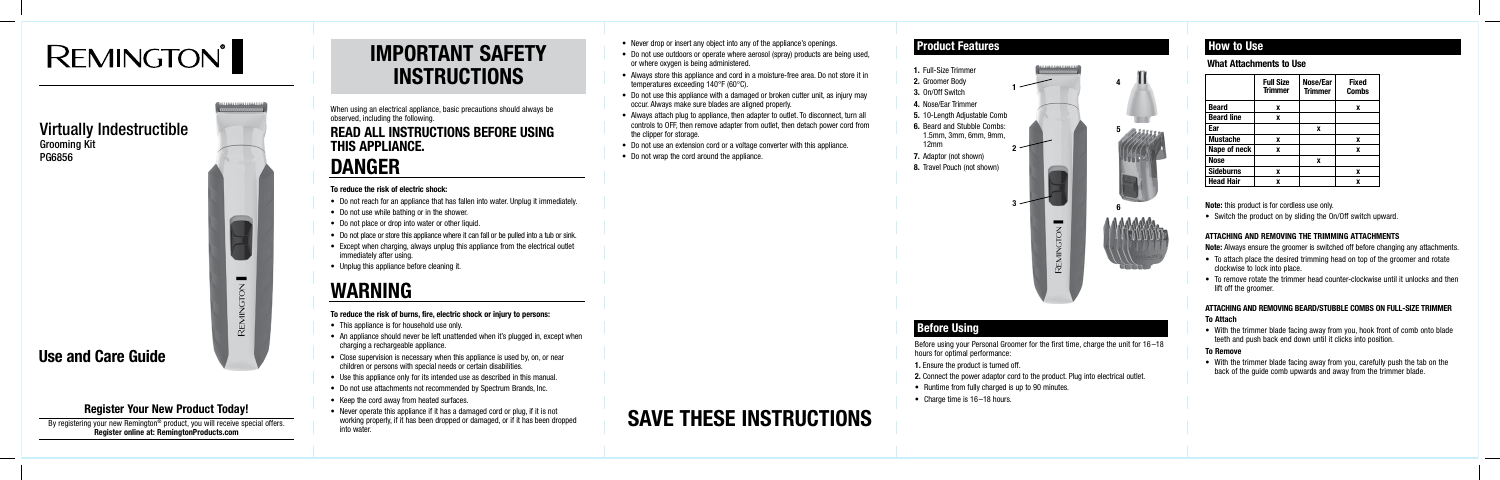When using an electrical appliance, basic precautions should always be observed, including the following.

# READ ALL INSTRUCTIONS BEFORE USING THIS APPLIANCE.

# DANGER

#### To reduce the risk of electric shock:

- Do not reach for an appliance that has fallen into water. Unplug it immediately.
- Do not use while bathing or in the shower.
- Do not place or drop into water or other liquid.
- Do not place or store this appliance where it can fall or be pulled into a tub or sink.
- Except when charging, always unplug this appliance from the electrical outlet immediately after using.
- Unplug this appliance before cleaning it.

# WARNING

#### To reduce the risk of burns, fire, electric shock or injury to persons:

- Never drop or insert any object into any of the appliance's openings.
- IMPORTANT SAFETY **A REFIV** and the controllar of the care are where a archived (spray) products are being used, • Do not use outdoors or operate where aerosol (spray) products are being used. or where oxygen is being administered.
	- Always store this appliance and cord in a moisture-free area. Do not store it in temperatures exceeding 140°F (60°C).
	- Do not use this appliance with a damaged or broken cutter unit, as injury may occur. Always make sure blades are aligned properly.
	- Always attach plug to appliance, then adapter to outlet. To disconnect, turn all controls to OFF, then remove adapter from outlet, then detach power cord from the clipper for storage.
	- Do not use an extension cord or a voltage converter with this appliance.
	- Do not wrap the cord around the appliance.

- This appliance is for household use only.
- An appliance should never be left unattended when it's plugged in, except when charging a rechargeable appliance.
- Close supervision is necessary when this appliance is used by, on, or near children or persons with special needs or certain disabilities.
- Use this appliance only for its intended use as described in this manual.
- Do not use attachments not recommended by Spectrum Brands, Inc.
- Keep the cord away from heated surfaces.
- Never operate this appliance if it has a damaged cord or plug, if it is not working properly, if it has been dropped or damaged, or if it has been dropped into water.
- $2 -$ 6. Beard and Stubble Combs: 1.5mm, 3mm, 6mm, 9mm, 12mm
- 7. Adaptor (not shown)
- 8. Travel Pouch (not shown)

• With the trimmer blade facing away from you, hook front of comb onto blade teeth and push back end down until it clicks into position.

# SAVE THESE INSTRUCTIONS

Before using your Personal Groomer for the first time, charge the unit for 16–18 hours for optimal performance:

- 1. Ensure the product is turned off.
- 2. Connect the power adaptor cord to the product. Plug into electrical outlet.
- Runtime from fully charged is up to 90 minutes.
- Charge time is 16–18 hours.

# Before Using

# **REMINGTON®**

# Virtually Indestructible Grooming Kit PG6856



# Use and Care Guide

## Product Features

1

3

- 1. Full-Size Trimmer
- 2. Groomer Body
- 3. On/Off Switch
- 4. Nose/Ear Trimmer
- 5. 10-Length Adjustable Comb

Note: this product is for cordless use only.

• Switch the product on by sliding the On/Off switch upward.

#### ATTACHING AND REMOVING THE TRIMMING ATTACHMENTS

Note: Always ensure the groomer is switched off before changing any attachments.

- To attach place the desired trimming head on top of the groomer and rotate clockwise to lock into place.
- To remove rotate the trimmer head counter-clockwise until it unlocks and then lift off the groomer.

#### ATTACHING AND REMOVING BEARD/STUBBLE COMBS ON FULL-SIZE TRIMMER

#### To Attach

#### To Remove

• With the trimmer blade facing away from you, carefully push the tab on the back of the guide comb upwards and away from the trimmer blade.

## How to Use

|                   | <b>Full Size</b><br><b>Trimmer</b> | Nose/Ear<br>Trimmer | <b>Fixed</b><br><b>Combs</b> |
|-------------------|------------------------------------|---------------------|------------------------------|
| <b>Beard</b>      | x                                  |                     | X                            |
| <b>Beard line</b> | x                                  |                     |                              |
| Ear               |                                    | x                   |                              |
| <b>Mustache</b>   | x                                  |                     | x                            |
| Nape of neck      | x                                  |                     | x                            |
| Nose              |                                    | x                   |                              |
| <b>Sideburns</b>  | x                                  |                     | x                            |
| <b>Head Hair</b>  | ¥                                  |                     |                              |



# Register Your New Product Today!

By registering your new Remington® product, you will receive special offers. Register online at: RemingtonProducts.com

# **INSTRUCTIONS**